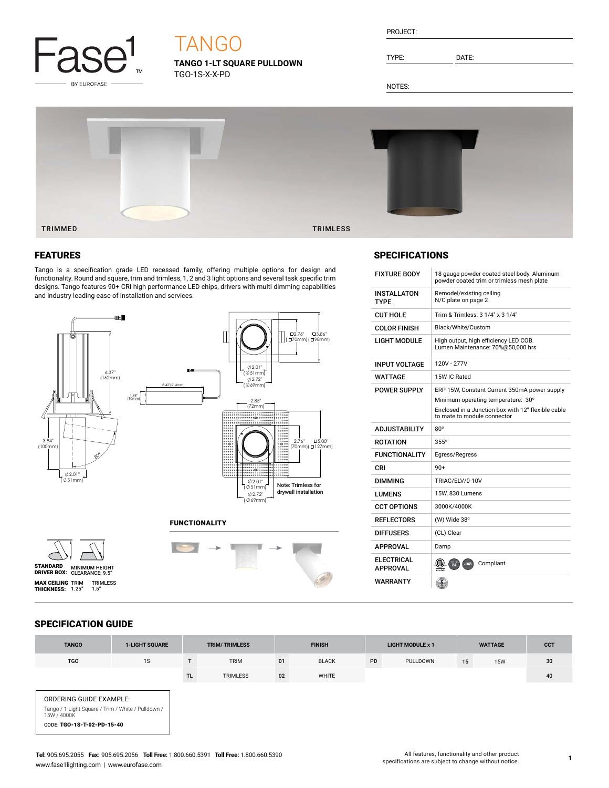

## TANGO

**TANGO 1-LT SQUARE PULLDOWN** TGO-1S-X-X-PD

| PROJECT: |  |
|----------|--|
|          |  |

TYPE: DATE:

NOTES:



## FEATURES

Tango is a specification grade LED recessed family, offering multiple options for design and functionality. Round and square, trim and trimless, 1, 2 and 3 light options and several task specific trim designs. Tango features 90+ CRI high performance LED chips, drivers with multi dimming capabilities and industry leading ease of installation and services.



FUNCTIONALITY





## **SPECIFICATIONS**

| <b>FIXTURE BODY</b>                  | 18 gauge powder coated steel body. Aluminum<br>powder coated trim or trimless mesh plate |  |  |  |  |  |
|--------------------------------------|------------------------------------------------------------------------------------------|--|--|--|--|--|
| <b>INSTALLATON</b><br><b>TYPF</b>    | Remodel/existing ceiling<br>N/C plate on page 2                                          |  |  |  |  |  |
| <b>CUT HOLE</b>                      | Trim & Trimless: 3 1/4" x 3 1/4"                                                         |  |  |  |  |  |
| <b>COLOR FINISH</b>                  | Black/White/Custom                                                                       |  |  |  |  |  |
| LIGHT MODULE                         | High output, high efficiency LED COB.<br>Lumen Maintenance: 70%@50,000 hrs               |  |  |  |  |  |
| <b>INPUT VOLTAGE</b>                 | 120V - 277V                                                                              |  |  |  |  |  |
| WATTAGE                              | 15W IC Rated                                                                             |  |  |  |  |  |
| <b>POWER SUPPLY</b>                  | ERP 15W, Constant Current 350mA power supply                                             |  |  |  |  |  |
|                                      | Minimum operating temperature: -30°                                                      |  |  |  |  |  |
|                                      | Enclosed in a Junction box with 12" flexible cable<br>to mate to module connector        |  |  |  |  |  |
| <b>ADJUSTABILITY</b>                 | $80^\circ$                                                                               |  |  |  |  |  |
| <b>ROTATION</b>                      | $355^\circ$                                                                              |  |  |  |  |  |
| <b>FUNCTIONALITY</b>                 | Egress/Regress                                                                           |  |  |  |  |  |
| CRI                                  | $90+$                                                                                    |  |  |  |  |  |
| DIMMING                              | TRIAC/ELV/0-10V                                                                          |  |  |  |  |  |
| LUMENS                               | 15W, 830 Lumens                                                                          |  |  |  |  |  |
| <b>CCT OPTIONS</b>                   | 3000K/4000K                                                                              |  |  |  |  |  |
| <b>REFLECTORS</b>                    | (W) Wide 38°                                                                             |  |  |  |  |  |
| <b>DIFFUSERS</b>                     | (CL) Clear                                                                               |  |  |  |  |  |
| <b>APPROVAL</b>                      | Damp                                                                                     |  |  |  |  |  |
| <b>ELECTRICAL</b><br><b>APPROVAL</b> | Compliant<br>(CIV).<br>罗<br>JA8<br>ntertek                                               |  |  |  |  |  |
| WARRANTY                             |                                                                                          |  |  |  |  |  |

## SPECIFICATION GUIDE

| <b>TANGO</b>                                                                  | <b>1-LIGHT SQUARE</b> |           | <b>TRIM/TRIMLESS</b> |    | <b>FINISH</b> |           | <b>LIGHT MODULE x 1</b> |    | <b>WATTAGE</b> | <b>CCT</b> |
|-------------------------------------------------------------------------------|-----------------------|-----------|----------------------|----|---------------|-----------|-------------------------|----|----------------|------------|
| <b>TGO</b>                                                                    | 1S                    |           | <b>TRIM</b>          | 01 | <b>BLACK</b>  | <b>PD</b> | PULLDOWN                | 15 | <b>15W</b>     | 30         |
|                                                                               |                       | <b>TL</b> | <b>TRIMLESS</b>      | 02 | WHITE         |           |                         |    |                | 40         |
| ORDERING GUIDE EXAMPLE:<br>Tango / 1-Light Square / Trim / White / Pulldown / |                       |           |                      |    |               |           |                         |    |                |            |

Tango / 1-Light Square / Trim / White / Pulldown / 15W / 4000K CODE: TGO-1S-T-02-PD-15-40